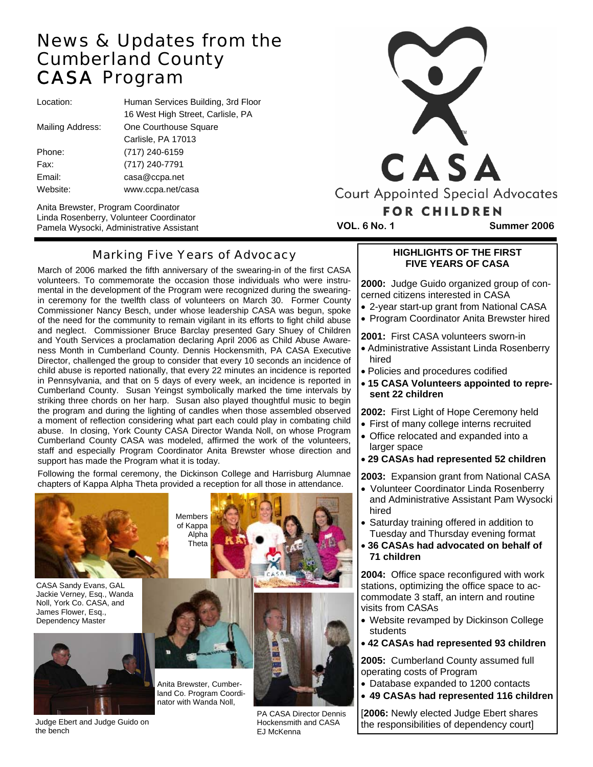# News & Updates from the Cumberland County CASA Program

Location: Human Services Building, 3rd Floor 16 West High Street, Carlisle, PA Mailing Address: One Courthouse Square Carlisle, PA 17013 Phone: (717) 240-6159 Fax: (717) 240-7791 Email: casa@ccpa.net Website: www.ccpa.net/casa

Anita Brewster, Program Coordinator Linda Rosenberry, Volunteer Coordinator Pamela Wysocki, Administrative Assistant **VOL. 6 No. 1 Summer 2006** 



## Marking Five Years of Advocacy

March of 2006 marked the fifth anniversary of the swearing-in of the first CASA volunteers. To commemorate the occasion those individuals who were instrumental in the development of the Program were recognized during the swearingin ceremony for the twelfth class of volunteers on March 30. Former County Commissioner Nancy Besch, under whose leadership CASA was begun, spoke of the need for the community to remain vigilant in its efforts to fight child abuse and neglect. Commissioner Bruce Barclay presented Gary Shuey of Children and Youth Services a proclamation declaring April 2006 as Child Abuse Awareness Month in Cumberland County. Dennis Hockensmith, PA CASA Executive Director, challenged the group to consider that every 10 seconds an incidence of child abuse is reported nationally, that every 22 minutes an incidence is reported in Pennsylvania, and that on 5 days of every week, an incidence is reported in Cumberland County. Susan Yeingst symbolically marked the time intervals by striking three chords on her harp. Susan also played thoughtful music to begin the program and during the lighting of candles when those assembled observed a moment of reflection considering what part each could play in combating child abuse. In closing, York County CASA Director Wanda Noll, on whose Program Cumberland County CASA was modeled, affirmed the work of the volunteers, staff and especially Program Coordinator Anita Brewster whose direction and support has made the Program what it is today.

Following the formal ceremony, the Dickinson College and Harrisburg Alumnae chapters of Kappa Alpha Theta provided a reception for all those in attendance.



CASA Sandy Evans, GAL Jackie Verney, Esq., Wanda Noll, York Co. CASA, and James Flower, Esq., Dependency Master



Judge Ebert and Judge Guido on the bench







PA CASA Director Dennis Hockensmith and CASA EJ McKenna

**HIGHLIGHTS OF THE FIRST FIVE YEARS OF CASA** 

**2000:** Judge Guido organized group of concerned citizens interested in CASA

- 2-year start-up grant from National CASA
- Program Coordinator Anita Brewster hired

**2001:** First CASA volunteers sworn-in

- Administrative Assistant Linda Rosenberry hired
- Policies and procedures codified
- **15 CASA Volunteers appointed to represent 22 children**

#### **2002:** First Light of Hope Ceremony held

- First of many college interns recruited
- Office relocated and expanded into a larger space
- **29 CASAs had represented 52 children**

**2003:** Expansion grant from National CASA

- Volunteer Coordinator Linda Rosenberry and Administrative Assistant Pam Wysocki hired
- Saturday training offered in addition to Tuesday and Thursday evening format
- **36 CASAs had advocated on behalf of 71 children**

**2004:** Office space reconfigured with work stations, optimizing the office space to accommodate 3 staff, an intern and routine visits from CASAs

- Website revamped by Dickinson College students
- **42 CASAs had represented 93 children**

**2005:** Cumberland County assumed full operating costs of Program

- Database expanded to 1200 contacts
- **49 CASAs had represented 116 children**

[**2006:** Newly elected Judge Ebert shares the responsibilities of dependency court]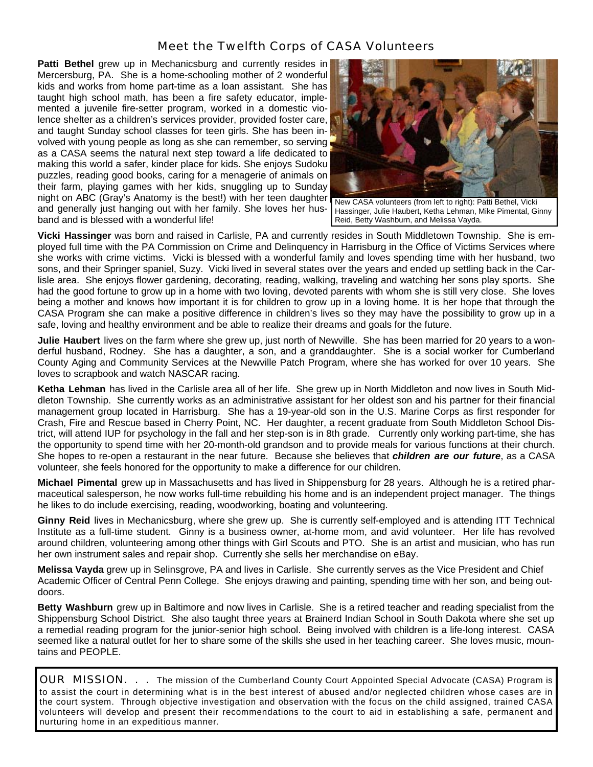### Meet the Twelfth Corps of CASA Volunteers

**Patti Bethel** grew up in Mechanicsburg and currently resides in Mercersburg, PA. She is a home-schooling mother of 2 wonderful kids and works from home part-time as a loan assistant. She has taught high school math, has been a fire safety educator, implemented a juvenile fire-setter program, worked in a domestic violence shelter as a children's services provider, provided foster care, and taught Sunday school classes for teen girls. She has been involved with young people as long as she can remember, so serving as a CASA seems the natural next step toward a life dedicated to making this world a safer, kinder place for kids. She enjoys Sudoku puzzles, reading good books, caring for a menagerie of animals on their farm, playing games with her kids, snuggling up to Sunday night on ABC (Gray's Anatomy is the best!) with her teen daughter and generally just hanging out with her family. She loves her hus-Hassinger, Julie Haubert, Ketha Lehman, Mike Pimental, Ginny band and is blessed with a wonderful life!



New CASA volunteers (from left to right): Patti Bethel, Vicki Reid, Betty Washburn, and Melissa Vayda.

**Vicki Hassinger** was born and raised in Carlisle, PA and currently resides in South Middletown Township. She is employed full time with the PA Commission on Crime and Delinquency in Harrisburg in the Office of Victims Services where she works with crime victims. Vicki is blessed with a wonderful family and loves spending time with her husband, two sons, and their Springer spaniel, Suzy. Vicki lived in several states over the years and ended up settling back in the Carlisle area. She enjoys flower gardening, decorating, reading, walking, traveling and watching her sons play sports. She had the good fortune to grow up in a home with two loving, devoted parents with whom she is still very close. She loves being a mother and knows how important it is for children to grow up in a loving home. It is her hope that through the CASA Program she can make a positive difference in children's lives so they may have the possibility to grow up in a safe, loving and healthy environment and be able to realize their dreams and goals for the future.

**Julie Haubert** lives on the farm where she grew up, just north of Newville. She has been married for 20 years to a wonderful husband, Rodney. She has a daughter, a son, and a granddaughter. She is a social worker for Cumberland County Aging and Community Services at the Newville Patch Program, where she has worked for over 10 years. She loves to scrapbook and watch NASCAR racing.

**Ketha Lehman** has lived in the Carlisle area all of her life. She grew up in North Middleton and now lives in South Middleton Township. She currently works as an administrative assistant for her oldest son and his partner for their financial management group located in Harrisburg. She has a 19-year-old son in the U.S. Marine Corps as first responder for Crash, Fire and Rescue based in Cherry Point, NC. Her daughter, a recent graduate from South Middleton School District, will attend IUP for psychology in the fall and her step-son is in 8th grade. Currently only working part-time, she has the opportunity to spend time with her 20-month-old grandson and to provide meals for various functions at their church. She hopes to re-open a restaurant in the near future. Because she believes that *children are our future*, as a CASA volunteer, she feels honored for the opportunity to make a difference for our children.

**Michael Pimental** grew up in Massachusetts and has lived in Shippensburg for 28 years. Although he is a retired pharmaceutical salesperson, he now works full-time rebuilding his home and is an independent project manager. The things he likes to do include exercising, reading, woodworking, boating and volunteering.

**Ginny Reid** lives in Mechanicsburg, where she grew up. She is currently self-employed and is attending ITT Technical Institute as a full-time student. Ginny is a business owner, at-home mom, and avid volunteer. Her life has revolved around children, volunteering among other things with Girl Scouts and PTO. She is an artist and musician, who has run her own instrument sales and repair shop. Currently she sells her merchandise on eBay.

**Melissa Vayda** grew up in Selinsgrove, PA and lives in Carlisle. She currently serves as the Vice President and Chief Academic Officer of Central Penn College. She enjoys drawing and painting, spending time with her son, and being outdoors.

**Betty Washburn** grew up in Baltimore and now lives in Carlisle. She is a retired teacher and reading specialist from the Shippensburg School District. She also taught three years at Brainerd Indian School in South Dakota where she set up a remedial reading program for the junior-senior high school. Being involved with children is a life-long interest. CASA seemed like a natural outlet for her to share some of the skills she used in her teaching career. She loves music, mountains and PEOPLE.

OUR MISSION. . . The mission of the Cumberland County Court Appointed Special Advocate (CASA) Program is to assist the court in determining what is in the best interest of abused and/or neglected children whose cases are in the court system. Through objective investigation and observation with the focus on the child assigned, trained CASA volunteers will develop and present their recommendations to the court to aid in establishing a safe, permanent and nurturing home in an expeditious manner.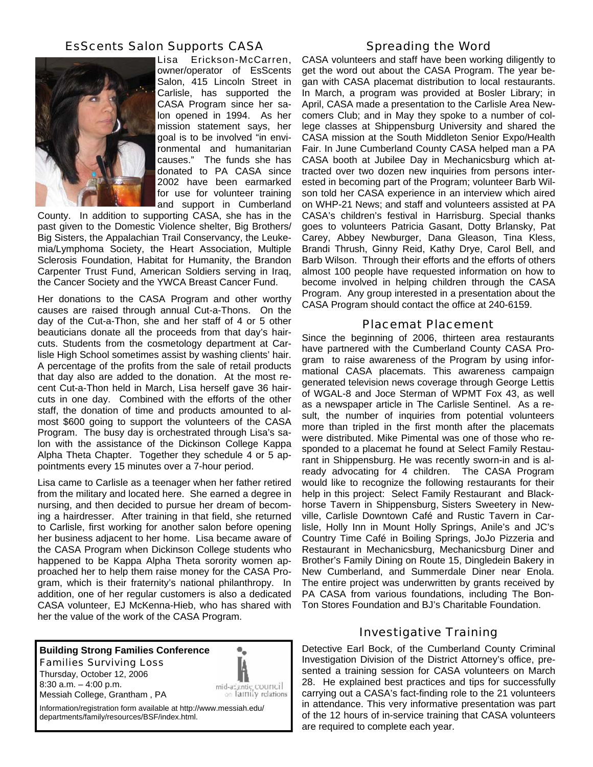### EsScents Salon Supports CASA



Lisa Erickson-McCarren, owner/operator of EsScents Salon, 415 Lincoln Street in Carlisle, has supported the CASA Program since her salon opened in 1994. As her mission statement says, her goal is to be involved "in environmental and humanitarian causes." The funds she has donated to PA CASA since 2002 have been earmarked for use for volunteer training and support in Cumberland

County. In addition to supporting CASA, she has in the past given to the Domestic Violence shelter, Big Brothers/ Big Sisters, the Appalachian Trail Conservancy, the Leukemia/Lymphoma Society, the Heart Association, Multiple Sclerosis Foundation, Habitat for Humanity, the Brandon Carpenter Trust Fund, American Soldiers serving in Iraq, the Cancer Society and the YWCA Breast Cancer Fund.

 Her donations to the CASA Program and other worthy causes are raised through annual Cut-a-Thons. On the day of the Cut-a-Thon, she and her staff of 4 or 5 other beauticians donate all the proceeds from that day's haircuts. Students from the cosmetology department at Carlisle High School sometimes assist by washing clients' hair. A percentage of the profits from the sale of retail products that day also are added to the donation. At the most recent Cut-a-Thon held in March, Lisa herself gave 36 haircuts in one day. Combined with the efforts of the other staff, the donation of time and products amounted to almost \$600 going to support the volunteers of the CASA Program. The busy day is orchestrated through Lisa's salon with the assistance of the Dickinson College Kappa Alpha Theta Chapter. Together they schedule 4 or 5 appointments every 15 minutes over a 7-hour period.

Lisa came to Carlisle as a teenager when her father retired from the military and located here. She earned a degree in nursing, and then decided to pursue her dream of becoming a hairdresser. After training in that field, she returned to Carlisle, first working for another salon before opening her business adjacent to her home. Lisa became aware of the CASA Program when Dickinson College students who happened to be Kappa Alpha Theta sorority women approached her to help them raise money for the CASA Program, which is their fraternity's national philanthropy. In addition, one of her regular customers is also a dedicated CASA volunteer, EJ McKenna-Hieb, who has shared with her the value of the work of the CASA Program.

## **Building Strong Families Conference**  *Families Surviving Loss*

Thursday, October 12, 2006 8:30 a.m. – 4:00 p.m. Messiah College, Grantham , PA



Information/registration form available at http://www.messiah.edu/ departments/family/resources/BSF/index.html.

#### Spreading the Word

CASA volunteers and staff have been working diligently to get the word out about the CASA Program. The year began with CASA placemat distribution to local restaurants. In March, a program was provided at Bosler Library; in April, CASA made a presentation to the Carlisle Area Newcomers Club; and in May they spoke to a number of college classes at Shippensburg University and shared the CASA mission at the South Middleton Senior Expo/Health Fair. In June Cumberland County CASA helped man a PA CASA booth at Jubilee Day in Mechanicsburg which attracted over two dozen new inquiries from persons interested in becoming part of the Program; volunteer Barb Wilson told her CASA experience in an interview which aired on WHP-21 News; and staff and volunteers assisted at PA CASA's children's festival in Harrisburg. Special thanks goes to volunteers Patricia Gasant, Dotty Brlansky, Pat Carey, Abbey Newburger, Dana Gleason, Tina Kless, Brandi Thrush, Ginny Reid, Kathy Drye, Carol Bell, and Barb Wilson. Through their efforts and the efforts of others almost 100 people have requested information on how to become involved in helping children through the CASA Program. Any group interested in a presentation about the CASA Program should contact the office at 240-6159.

#### Placemat Placement

Since the beginning of 2006, thirteen area restaurants have partnered with the Cumberland County CASA Program to raise awareness of the Program by using informational CASA placemats. This awareness campaign generated television news coverage through George Lettis of WGAL-8 and Joce Sterman of WPMT Fox 43, as well as a newspaper article in The Carlisle Sentinel. As a result, the number of inquiries from potential volunteers more than tripled in the first month after the placemats were distributed. Mike Pimental was one of those who responded to a placemat he found at Select Family Restaurant in Shippensburg. He was recently sworn-in and is already advocating for 4 children. The CASA Program would like to recognize the following restaurants for their help in this project: Select Family Restaurant and Blackhorse Tavern in Shippensburg, Sisters Sweetery in Newville, Carlisle Downtown Café and Rustic Tavern in Carlisle, Holly Inn in Mount Holly Springs, Anile's and JC's Country Time Café in Boiling Springs, JoJo Pizzeria and Restaurant in Mechanicsburg, Mechanicsburg Diner and Brother's Family Dining on Route 15, Dingledein Bakery in New Cumberland, and Summerdale Diner near Enola. The entire project was underwritten by grants received by PA CASA from various foundations, including The Bon-Ton Stores Foundation and BJ's Charitable Foundation.

#### Investigative Training

Detective Earl Bock, of the Cumberland County Criminal Investigation Division of the District Attorney's office, presented a training session for CASA volunteers on March 28. He explained best practices and tips for successfully carrying out a CASA's fact-finding role to the 21 volunteers in attendance. This very informative presentation was part of the 12 hours of in-service training that CASA volunteers are required to complete each year.